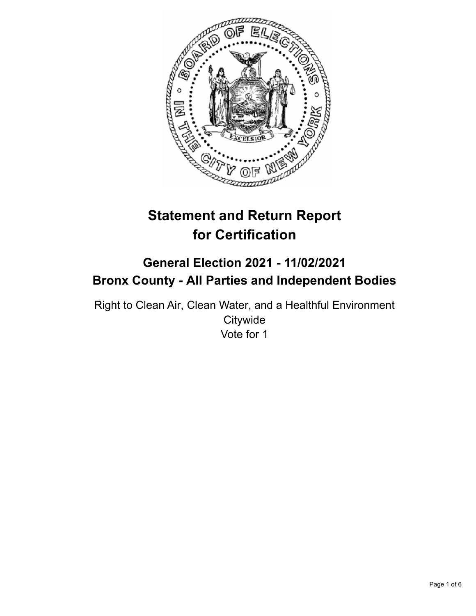

# **Statement and Return Report for Certification**

# **General Election 2021 - 11/02/2021 Bronx County - All Parties and Independent Bodies**

Right to Clean Air, Clean Water, and a Healthful Environment **Citywide** Vote for 1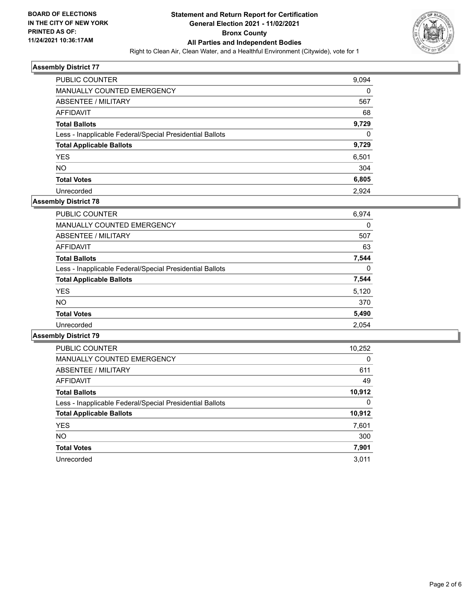

| <b>PUBLIC COUNTER</b>                                    | 9,094 |
|----------------------------------------------------------|-------|
| MANUALLY COUNTED EMERGENCY                               | 0     |
| ABSENTEE / MILITARY                                      | 567   |
| AFFIDAVIT                                                | 68    |
| <b>Total Ballots</b>                                     | 9,729 |
| Less - Inapplicable Federal/Special Presidential Ballots | 0     |
| <b>Total Applicable Ballots</b>                          | 9,729 |
| <b>YES</b>                                               | 6,501 |
| <b>NO</b>                                                | 304   |
| <b>Total Votes</b>                                       | 6,805 |
| Unrecorded                                               | 2.924 |

# **Assembly District 78**

| <b>PUBLIC COUNTER</b>                                    | 6,974    |
|----------------------------------------------------------|----------|
| <b>MANUALLY COUNTED EMERGENCY</b>                        | 0        |
| ABSENTEE / MILITARY                                      | 507      |
| <b>AFFIDAVIT</b>                                         | 63       |
| <b>Total Ballots</b>                                     | 7,544    |
| Less - Inapplicable Federal/Special Presidential Ballots | $\Omega$ |
| <b>Total Applicable Ballots</b>                          | 7,544    |
| <b>YES</b>                                               | 5,120    |
| <b>NO</b>                                                | 370      |
| <b>Total Votes</b>                                       | 5,490    |
| Unrecorded                                               | 2.054    |
|                                                          |          |

| <b>PUBLIC COUNTER</b>                                    | 10,252   |
|----------------------------------------------------------|----------|
| <b>MANUALLY COUNTED EMERGENCY</b>                        | $\Omega$ |
| ABSENTEE / MILITARY                                      | 611      |
| <b>AFFIDAVIT</b>                                         | 49       |
| <b>Total Ballots</b>                                     | 10,912   |
| Less - Inapplicable Federal/Special Presidential Ballots | 0        |
| <b>Total Applicable Ballots</b>                          | 10,912   |
| <b>YES</b>                                               | 7,601    |
| NO.                                                      | 300      |
| <b>Total Votes</b>                                       | 7,901    |
| Unrecorded                                               | 3.011    |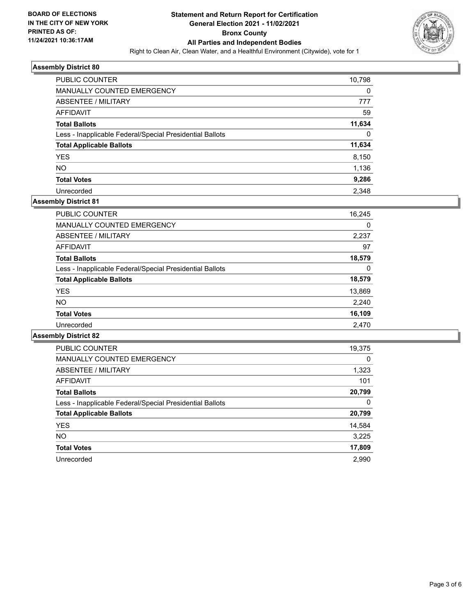

| <b>PUBLIC COUNTER</b>                                    | 10,798   |
|----------------------------------------------------------|----------|
| <b>MANUALLY COUNTED EMERGENCY</b>                        | 0        |
| ABSENTEE / MILITARY                                      | 777      |
| AFFIDAVIT                                                | 59       |
| <b>Total Ballots</b>                                     | 11,634   |
| Less - Inapplicable Federal/Special Presidential Ballots | $\Omega$ |
| <b>Total Applicable Ballots</b>                          | 11,634   |
| <b>YES</b>                                               | 8,150    |
| <b>NO</b>                                                | 1,136    |
| <b>Total Votes</b>                                       | 9,286    |
| Unrecorded                                               | 2.348    |

# **Assembly District 81**

| PUBLIC COUNTER                                           | 16,245 |
|----------------------------------------------------------|--------|
| MANUALLY COUNTED EMERGENCY                               | 0      |
| ABSENTEE / MILITARY                                      | 2,237  |
| AFFIDAVIT                                                | 97     |
| <b>Total Ballots</b>                                     | 18,579 |
| Less - Inapplicable Federal/Special Presidential Ballots | 0      |
| <b>Total Applicable Ballots</b>                          | 18,579 |
| <b>YES</b>                                               | 13,869 |
| <b>NO</b>                                                | 2,240  |
| <b>Total Votes</b>                                       | 16,109 |
| Unrecorded                                               | 2,470  |

| <b>PUBLIC COUNTER</b>                                    | 19,375   |
|----------------------------------------------------------|----------|
| <b>MANUALLY COUNTED EMERGENCY</b>                        | $\Omega$ |
| ABSENTEE / MILITARY                                      | 1,323    |
| <b>AFFIDAVIT</b>                                         | 101      |
| <b>Total Ballots</b>                                     | 20,799   |
| Less - Inapplicable Federal/Special Presidential Ballots | 0        |
| <b>Total Applicable Ballots</b>                          | 20,799   |
| <b>YES</b>                                               | 14,584   |
| NO.                                                      | 3,225    |
| <b>Total Votes</b>                                       | 17,809   |
| Unrecorded                                               | 2.990    |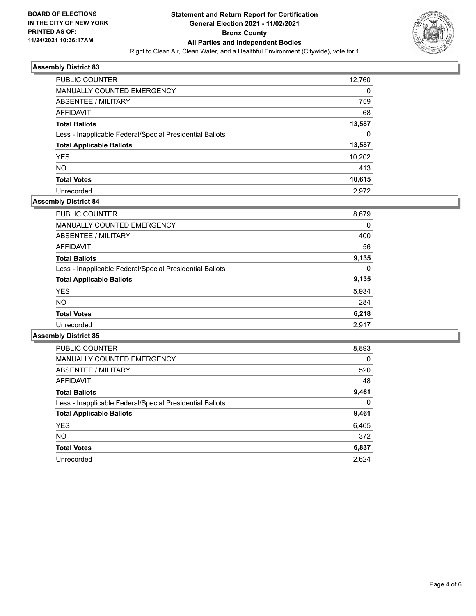

| <b>PUBLIC COUNTER</b>                                    | 12,760 |
|----------------------------------------------------------|--------|
| <b>MANUALLY COUNTED EMERGENCY</b>                        | 0      |
| ABSENTEE / MILITARY                                      | 759    |
| AFFIDAVIT                                                | 68     |
| <b>Total Ballots</b>                                     | 13,587 |
| Less - Inapplicable Federal/Special Presidential Ballots | 0      |
| <b>Total Applicable Ballots</b>                          | 13,587 |
| <b>YES</b>                                               | 10.202 |
| <b>NO</b>                                                | 413    |
| <b>Total Votes</b>                                       | 10,615 |
| Unrecorded                                               | 2.972  |

#### **Assembly District 84**

| <b>PUBLIC COUNTER</b>                                    | 8,679 |
|----------------------------------------------------------|-------|
| <b>MANUALLY COUNTED EMERGENCY</b>                        | 0     |
| ABSENTEE / MILITARY                                      | 400   |
| AFFIDAVIT                                                | 56    |
| <b>Total Ballots</b>                                     | 9,135 |
| Less - Inapplicable Federal/Special Presidential Ballots | 0     |
| <b>Total Applicable Ballots</b>                          | 9,135 |
| <b>YES</b>                                               | 5,934 |
| <b>NO</b>                                                | 284   |
| <b>Total Votes</b>                                       | 6,218 |
| Unrecorded                                               | 2,917 |

| <b>PUBLIC COUNTER</b>                                    | 8,893    |
|----------------------------------------------------------|----------|
| <b>MANUALLY COUNTED EMERGENCY</b>                        | $\Omega$ |
| ABSENTEE / MILITARY                                      | 520      |
| <b>AFFIDAVIT</b>                                         | 48       |
| <b>Total Ballots</b>                                     | 9,461    |
| Less - Inapplicable Federal/Special Presidential Ballots | 0        |
| <b>Total Applicable Ballots</b>                          | 9,461    |
| <b>YES</b>                                               | 6,465    |
| <b>NO</b>                                                | 372      |
| <b>Total Votes</b>                                       | 6,837    |
| Unrecorded                                               | 2.624    |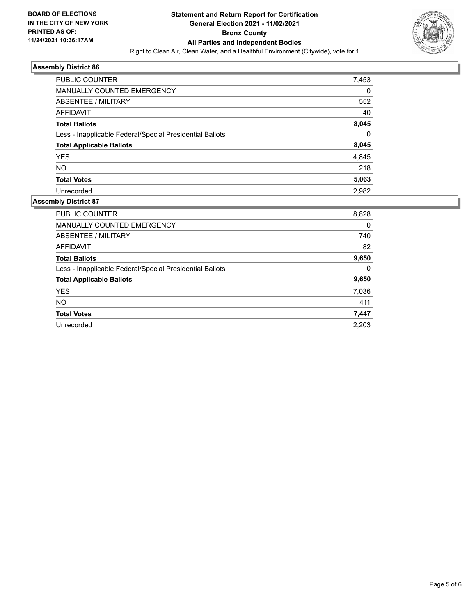

| PUBLIC COUNTER                                           | 7,453    |
|----------------------------------------------------------|----------|
| MANUALLY COUNTED EMERGENCY                               | 0        |
| ABSENTEE / MILITARY                                      | 552      |
| AFFIDAVIT                                                | 40       |
| <b>Total Ballots</b>                                     | 8,045    |
| Less - Inapplicable Federal/Special Presidential Ballots | $\Omega$ |
| <b>Total Applicable Ballots</b>                          | 8,045    |
| <b>YES</b>                                               | 4,845    |
| NO.                                                      | 218      |
| <b>Total Votes</b>                                       | 5,063    |
| Unrecorded                                               | 2.982    |

| <b>PUBLIC COUNTER</b>                                    | 8,828 |
|----------------------------------------------------------|-------|
| <b>MANUALLY COUNTED EMERGENCY</b>                        | 0     |
| ABSENTEE / MILITARY                                      | 740   |
| <b>AFFIDAVIT</b>                                         | 82    |
| <b>Total Ballots</b>                                     | 9,650 |
| Less - Inapplicable Federal/Special Presidential Ballots | 0     |
| <b>Total Applicable Ballots</b>                          | 9,650 |
| <b>YES</b>                                               | 7,036 |
| <b>NO</b>                                                | 411   |
| <b>Total Votes</b>                                       | 7,447 |
| Unrecorded                                               | 2.203 |